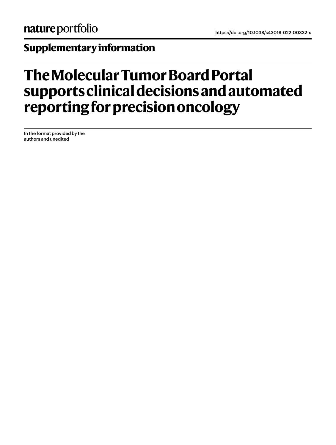## **Supplementary information**

## **The Molecular Tumor Board Portal supports clinical decisions and automated reporting for precision oncology**

In the format provided by the authors and unedited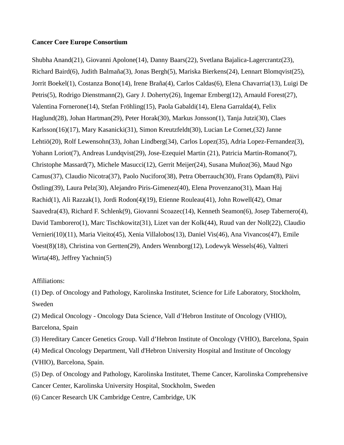## **Cancer Core Europe Consortium**

Shubha Anand(21), Giovanni Apolone(14), Danny Baars(22), Svetlana Bajalica-Lagercrantz(23), Richard Baird(6), Judith Balmaña(3), Jonas Bergh(5), Mariska Bierkens(24), Lennart Blomqvist(25), Jorrit Boekel(1), Costanza Bono(14), Irene Braña(4), Carlos Caldas(6), Elena Chavarria(13), Luigi De Petris(5), Rodrigo Dienstmann(2), Gary J. Doherty(26), Ingemar Ernberg(12), Arnauld Forest(27), Valentina Fornerone(14), Stefan Fröhling(15), Paola Gabaldi(14), Elena Garralda(4), Felix Haglund(28), Johan Hartman(29), Peter Horak(30), Markus Jonsson(1), Tanja Jutzi(30), Claes Karlsson(16)(17), Mary Kasanicki(31), Simon Kreutzfeldt(30), Lucian Le Cornet,(32) Janne Lehtiö(20), Rolf Lewensohn(33), Johan Lindberg(34), Carlos Lopez(35), Adria Lopez-Fernandez(3), Yohann Loriot(7), Andreas Lundqvist(29), Jose-Ezequiel Martin (21), Patricia Martin-Romano(7), Christophe Massard(7), Michele Masucci(12), Gerrit Meijer(24), Susana Muñoz(36), Maud Ngo Camus(37), Claudio Nicotra(37), Paolo Nuciforo(38), Petra Oberrauch(30), Frans Opdam(8), Päivi Östling(39), Laura Pelz(30), Alejandro Piris-Gimenez(40), Elena Provenzano(31), Maan Haj Rachid(1), Ali Razzak(1), Jordi Rodon(4)(19), Etienne Rouleau(41), John Rowell(42), Omar Saavedra(43), Richard F. Schlenk(9), Giovanni Scoazec(14), Kenneth Seamon(6), Josep Tabernero(4), David Tamborero(1), Marc Tischkowitz(31), Lizet van der Kolk(44), Ruud van der Noll(22), Claudio Vernieri(10)(11), Maria Vieito(45), Xenia Villalobos(13), Daniel Vis(46), Ana Vivancos(47), Emile Voest(8)(18), Christina von Gertten(29), Anders Wennborg(12), Lodewyk Wessels(46), Valtteri Wirta(48), Jeffrey Yachnin(5)

## Affiliations:

(1) Dep. of Oncology and Pathology, Karolinska Institutet, Science for Life Laboratory, Stockholm, Sweden

(2) Medical Oncology - Oncology Data Science, Vall d'Hebron Institute of Oncology (VHIO), Barcelona, Spain

(3) Hereditary Cancer Genetics Group. Vall d'Hebron Institute of Oncology (VHIO), Barcelona, Spain (4) Medical Oncology Department, Vall d'Hebron University Hospital and Institute of Oncology (VHIO), Barcelona, Spain.

(5) Dep. of Oncology and Pathology, Karolinska Institutet, Theme Cancer, Karolinska Comprehensive Cancer Center, Karolinska University Hospital, Stockholm, Sweden

(6) Cancer Research UK Cambridge Centre, Cambridge, UK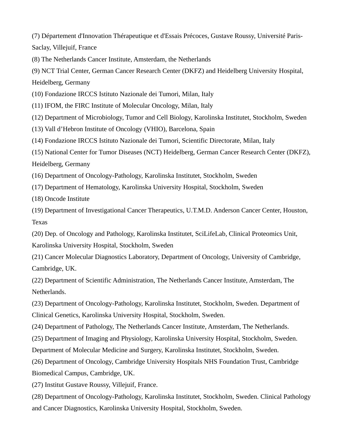(7) Département d'Innovation Thérapeutique et d'Essais Précoces, Gustave Roussy, Université Paris-Saclay, Villejuif, France

(8) The Netherlands Cancer Institute, Amsterdam, the Netherlands

(9) NCT Trial Center, German Cancer Research Center (DKFZ) and Heidelberg University Hospital, Heidelberg, Germany

(10) Fondazione IRCCS Istituto Nazionale dei Tumori, Milan, Italy

(11) IFOM, the FIRC Institute of Molecular Oncology, Milan, Italy

(12) Department of Microbiology, Tumor and Cell Biology, Karolinska Institutet, Stockholm, Sweden

(13) Vall d'Hebron Institute of Oncology (VHIO), Barcelona, Spain

(14) Fondazione IRCCS Istituto Nazionale dei Tumori, Scientific Directorate, Milan, Italy

(15) National Center for Tumor Diseases (NCT) Heidelberg, German Cancer Research Center (DKFZ), Heidelberg, Germany

(16) Department of Oncology-Pathology, Karolinska Institutet, Stockholm, Sweden

(17) Department of Hematology, Karolinska University Hospital, Stockholm, Sweden

(18) Oncode Institute

(19) Department of Investigational Cancer Therapeutics, U.T.M.D. Anderson Cancer Center, Houston, Texas

(20) Dep. of Oncology and Pathology, Karolinska Institutet, SciLifeLab, Clinical Proteomics Unit, Karolinska University Hospital, Stockholm, Sweden

(21) Cancer Molecular Diagnostics Laboratory, Department of Oncology, University of Cambridge, Cambridge, UK.

(22) Department of Scientific Administration, The Netherlands Cancer Institute, Amsterdam, The Netherlands.

(23) Department of Oncology-Pathology, Karolinska Institutet, Stockholm, Sweden. Department of Clinical Genetics, Karolinska University Hospital, Stockholm, Sweden.

(24) Department of Pathology, The Netherlands Cancer Institute, Amsterdam, The Netherlands.

(25) Department of Imaging and Physiology, Karolinska University Hospital, Stockholm, Sweden.

Department of Molecular Medicine and Surgery, Karolinska Institutet, Stockholm, Sweden.

(26) Department of Oncology, Cambridge University Hospitals NHS Foundation Trust, Cambridge Biomedical Campus, Cambridge, UK.

(27) Institut Gustave Roussy, Villejuif, France.

(28) Department of Oncology-Pathology, Karolinska Institutet, Stockholm, Sweden. Clinical Pathology and Cancer Diagnostics, Karolinska University Hospital, Stockholm, Sweden.